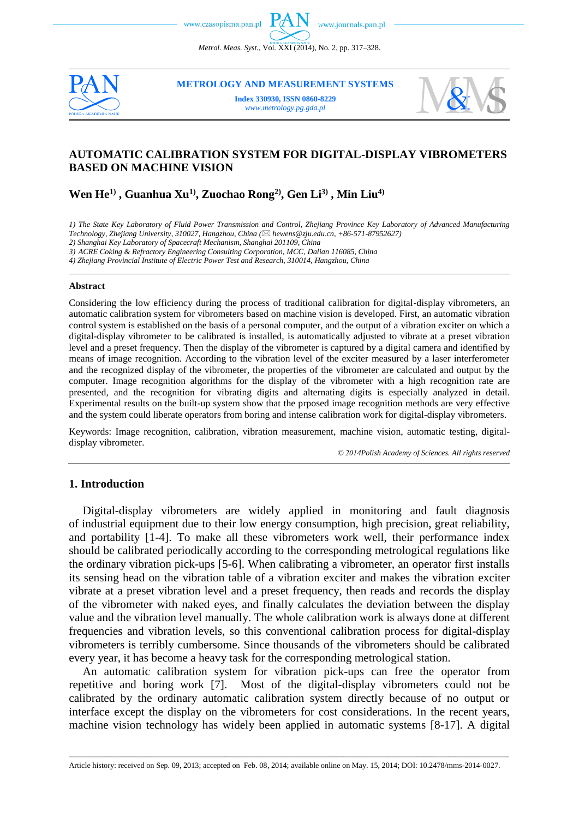*Metrol. Meas. Syst.*, Vol. XXI (2014), No. 2, pp. 317–328.



**METROLOGY AND MEASUREMENT SYSTEMS Index 330930, ISSN 0860-8229**

*www.metrology.pg.gda.pl*



# **AUTOMATIC CALIBRATION SYSTEM FOR DIGITAL-DISPLAY VIBROMETERS BASED ON MACHINE VISION**

**Wen He1) , Guanhua Xu1) , Zuochao Rong2) , Gen Li3) , Min Liu4)**

*1) The State Key Laboratory of Fluid Power Transmission and Control, Zhejiang Province Key Laboratory of Advanced Manufacturing* 

*Technology, Zhejiang University, 310027, Hangzhou, China ( hewens@zju.edu.cn, +86-571-87952627)*

*2) Shanghai Key Laboratory of Spacecraft Mechanism, Shanghai 201109, China*

*3) ACRE Coking & Refractory Engineering Consulting Corporation, MCC, Dalian 116085, China*

*4) Zhejiang Provincial Institute of Electric Power Test and Research, 310014, Hangzhou, China*

#### **Abstract**

Considering the low efficiency during the process of traditional calibration for digital-display vibrometers, an automatic calibration system for vibrometers based on machine vision is developed. First, an automatic vibration control system is established on the basis of a personal computer, and the output of a vibration exciter on which a digital-display vibrometer to be calibrated is installed, is automatically adjusted to vibrate at a preset vibration level and a preset frequency. Then the display of the vibrometer is captured by a digital camera and identified by means of image recognition. According to the vibration level of the exciter measured by a laser interferometer and the recognized display of the vibrometer, the properties of the vibrometer are calculated and output by the computer. Image recognition algorithms for the display of the vibrometer with a high recognition rate are presented, and the recognition for vibrating digits and alternating digits is especially analyzed in detail. Experimental results on the built-up system show that the prposed image recognition methods are very effective and the system could liberate operators from boring and intense calibration work for digital-display vibrometers.

Keywords: Image recognition, calibration, vibration measurement, machine vision, automatic testing, digitaldisplay vibrometer.

*© 2014Polish Academy of Sciences. All rights reserved*

### **1. Introduction**

Digital-display vibrometers are widely applied in monitoring and fault diagnosis of industrial equipment due to their low energy consumption, high precision, great reliability, and portability [1-4]. To make all these vibrometers work well, their performance index should be calibrated periodically according to the corresponding metrological regulations like the ordinary vibration pick-ups [5-6]. When calibrating a vibrometer, an operator first installs its sensing head on the vibration table of a vibration exciter and makes the vibration exciter vibrate at a preset vibration level and a preset frequency, then reads and records the display of the vibrometer with naked eyes, and finally calculates the deviation between the display value and the vibration level manually. The whole calibration work is always done at different frequencies and vibration levels, so this conventional calibration process for digital-display vibrometers is terribly cumbersome. Since thousands of the vibrometers should be calibrated every year, it has become a heavy task for the corresponding metrological station.

An automatic calibration system for vibration pick-ups can free the operator from repetitive and boring work [7]. Most of the digital-display vibrometers could not be calibrated by the ordinary automatic calibration system directly because of no output or interface except the display on the vibrometers for cost considerations. In the recent years, machine vision technology has widely been applied in automatic systems [8-17]. A digital

\_\_\_\_\_\_\_\_\_\_\_\_\_\_\_\_\_\_\_\_\_\_\_\_\_\_\_\_\_\_\_\_\_\_\_\_\_\_\_\_\_\_\_\_\_\_\_\_\_\_\_\_\_\_\_\_\_\_\_\_\_\_\_\_\_\_\_\_\_\_\_\_\_\_\_\_\_\_\_\_\_\_\_\_\_\_\_\_\_\_\_\_\_\_\_\_\_\_\_\_\_\_\_\_\_\_\_\_\_\_\_\_\_\_\_\_\_\_\_\_\_\_\_\_\_\_\_\_\_\_\_\_\_\_\_\_\_\_\_\_\_\_\_\_\_\_\_\_\_\_\_\_\_\_\_\_\_\_\_\_\_\_\_\_\_\_\_\_\_\_\_\_\_\_\_\_\_\_\_\_\_ Article history: received on Sep. 09, 2013; accepted on Feb. 08, 2014; available online on May. 15, 2014; DOI: 10.2478/mms-2014-0027.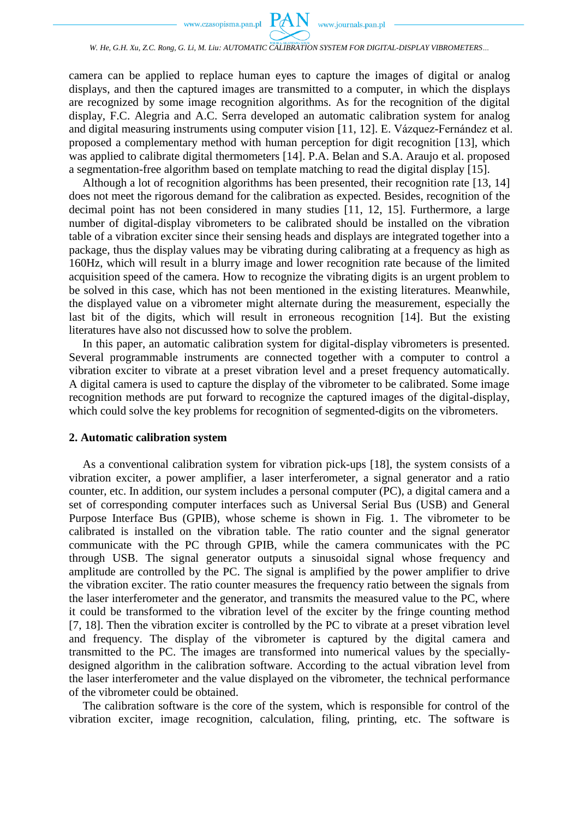

camera can be applied to replace human eyes to capture the images of digital or analog displays, and then the captured images are transmitted to a computer, in which the displays are recognized by some image recognition algorithms. As for the recognition of the digital display, F.C. Alegria and A.C. Serra developed an automatic calibration system for analog and digital measuring instruments using computer vision [11, 12]. E. Vázquez-Fernández et al. proposed a complementary method with human perception for digit recognition [\[13\],](#page-11-0) which was applied to calibrate digital thermometers [\[14\].](#page-11-1) P.A. Belan and S.A. Araujo et al. proposed a segmentation-free algorithm based on template matching to read the digital display [\[15\].](#page-11-2)

Although a lot of recognition algorithms has been presented, their recognition rate [13, 14] does not meet the rigorous demand for the calibration as expected. Besides, recognition of the decimal point has not been considered in many studies [11, 12, 15]. Furthermore, a large number of digital-display vibrometers to be calibrated should be installed on the vibration table of a vibration exciter since their sensing heads and displays are integrated together into a package, thus the display values may be vibrating during calibrating at a frequency as high as 160Hz, which will result in a blurry image and lower recognition rate because of the limited acquisition speed of the camera. How to recognize the vibrating digits is an urgent problem to be solved in this case, which has not been mentioned in the existing literatures. Meanwhile, the displayed value on a vibrometer might alternate during the measurement, especially the last bit of the digits, which will result in erroneous recognition [\[14\].](#page-11-1) But the existing literatures have also not discussed how to solve the problem.

In this paper, an automatic calibration system for digital-display vibrometers is presented. Several programmable instruments are connected together with a computer to control a vibration exciter to vibrate at a preset vibration level and a preset frequency automatically. A digital camera is used to capture the display of the vibrometer to be calibrated. Some image recognition methods are put forward to recognize the captured images of the digital-display, which could solve the key problems for recognition of segmented-digits on the vibrometers.

## **2. Automatic calibration system**

As a conventional calibration system for vibration pick-ups [\[18\],](#page-11-3) the system consists of a vibration exciter, a power amplifier, a laser interferometer, a signal generator and a ratio counter, etc. In addition, our system includes a personal computer (PC), a digital camera and a set of corresponding computer interfaces such as Universal Serial Bus (USB) and General Purpose Interface Bus (GPIB), whose scheme is shown in Fig. 1. The vibrometer to be calibrated is installed on the vibration table. The ratio counter and the signal generator communicate with the PC through GPIB, while the camera communicates with the PC through USB. The signal generator outputs a sinusoidal signal whose frequency and amplitude are controlled by the PC. The signal is amplified by the power amplifier to drive the vibration exciter. The ratio counter measures the frequency ratio between the signals from the laser interferometer and the generator, and transmits the measured value to the PC, where it could be transformed to the vibration level of the exciter by the fringe counting method [7, 18]. Then the vibration exciter is controlled by the PC to vibrate at a preset vibration level and frequency. The display of the vibrometer is captured by the digital camera and transmitted to the PC. The images are transformed into numerical values by the speciallydesigned algorithm in the calibration software. According to the actual vibration level from the laser interferometer and the value displayed on the vibrometer, the technical performance of the vibrometer could be obtained.

The calibration software is the core of the system, which is responsible for control of the vibration exciter, image recognition, calculation, filing, printing, etc. The software is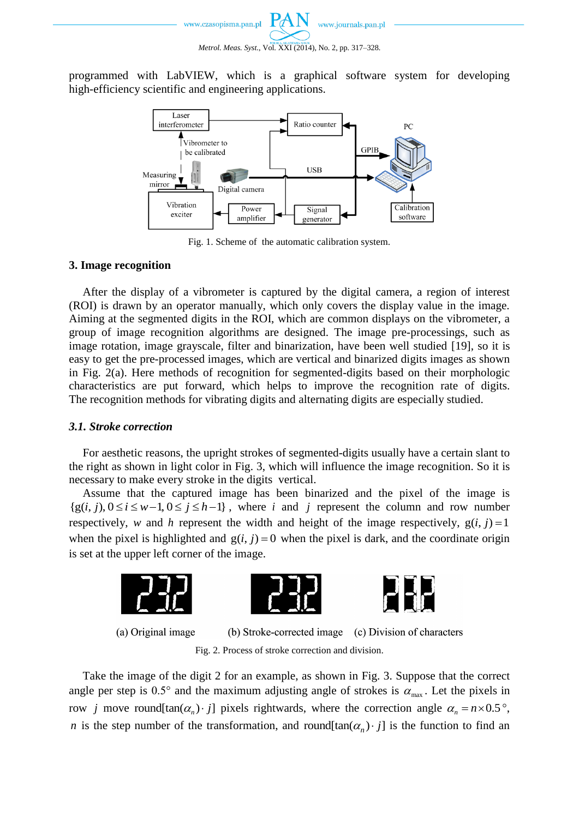programmed with LabVIEW, which is a graphical software system for developing high-efficiency scientific and engineering applications.



Fig. 1. Scheme of the automatic calibration system.

## **3. Image recognition**

After the display of a vibrometer is captured by the digital camera, a region of interest (ROI) is drawn by an operator manually, which only covers the display value in the image. Aiming at the segmented digits in the ROI, which are common displays on the vibrometer, a group of image recognition algorithms are designed. The image pre-processings, such as image rotation, image grayscale, filter and binarization, have been well studied [\[19\],](#page-11-4) so it is easy to get the pre-processed images, which are vertical and binarized digits images as shown in Fig. 2(a). Here methods of recognition for segmented-digits based on their morphologic characteristics are put forward, which helps to improve the recognition rate of digits. The recognition methods for vibrating digits and alternating digits are especially studied.

# *3.1. Stroke correction*

For aesthetic reasons, the upright strokes of segmented-digits usually have a certain slant to the right as shown in light color in Fig. 3, which will influence the image recognition. So it is necessary to make every stroke in the digits vertical.

Assume that the captured image has been binarized and the pixel of the image is Assume that the captured image has been binarized and the pixel of the image is  $\{g(i, j), 0 \le i \le w-1, 0 \le j \le h-1\}$ , where *i* and *j* represent the column and row number respectively, *w* and *h* represent the width and height of the image respectively,  $g(i, j) = 1$ when the pixel is highlighted and  $g(i, j) = 0$  when the pixel is dark, and the coordinate origin is set at the upper left corner of the image.



(a) Original image

(b) Stroke-corrected image (c) Division of characters Fig. 2. Process of stroke correction and division.

Take the image of the digit 2 for an example, as shown in Fig. 3. Suppose that the correct angle per step is 0.5° and the maximum adjusting angle of strokes is  $\alpha_{\text{max}}$ . Let the pixels in row *j* move round[tan( $\alpha_n$ ) *j*] pixels rightwards, where the correction angle  $\alpha_n = n \times 0.5^\circ$ , *n* is the step number of the transformation, and round  $[\tan(\alpha_n) \cdot j]$  is the function to find an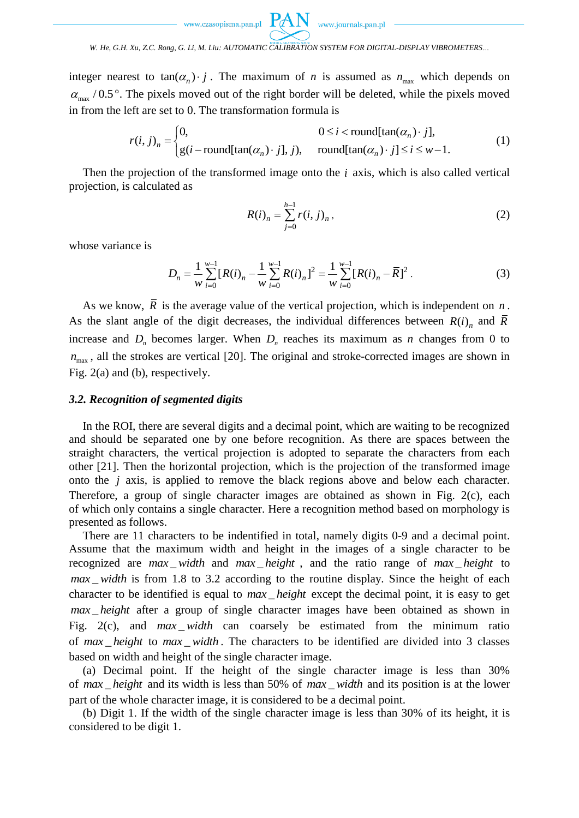

*W. He, G.H. Xu, Z.C. Rong, G. Li, M. Liu: AUTOMATIC CALIBRATION SYSTEM FOR DIGITAL-DISPLAY VIBROMETERS…*

integer nearest to  $tan(\alpha_n) \cdot j$ . The maximum of *n* is assumed as  $n_{max}$  which depends on  $\alpha_{\text{max}}$  / 0.5°. The pixels moved out of the right border will be deleted, while the pixels moved<br>in from the left are set to 0. The transformation formula is<br> $r(i, j)_n = \begin{cases} 0, & 0 \le i < \text{round}[\tan(\alpha_n) \cdot j], \\ 0, & \text{otherwise} \end{cases}$  (1)

in from the left are set to 0. The transformation formula is  
\n
$$
r(i, j)_n =\begin{cases}\n0, & 0 \le i < \text{round}[\tan(\alpha_n) \cdot j], \\
g(i - \text{round}[\tan(\alpha_n) \cdot j], j), & \text{round}[\tan(\alpha_n) \cdot j] \le i \le w - 1.\n\end{cases}
$$
\n(1)

Then the projection of the transformed image onto the *i* axis, which is also called vertical projection, is calculated as

$$
R(i)_n = \sum_{j=0}^{h-1} r(i, j)_n,
$$
 (2)

whose variance is

$$
D_n = \frac{1}{w} \sum_{i=0}^{w-1} [R(i)_n - \frac{1}{w} \sum_{i=0}^{w-1} R(i)_n]^2 = \frac{1}{w} \sum_{i=0}^{w-1} [R(i)_n - \overline{R}]^2.
$$
 (3)

As we know, *R* is the average value of the vertical projection, which is independent on *n* . As the slant angle of the digit decreases, the individual differences between  $R(i)$ <sub>n</sub> and  $\overline{R}$ increase and  $D_n$  becomes larger. When  $D_n$  reaches its maximum as *n* changes from 0 to  $n_{\text{max}}$ , all the strokes are vertical [\[20\].](#page-11-5) The original and stroke-corrected images are shown in Fig. 2(a) and (b), respectively.

## *3.2. Recognition of segmented digits*

In the ROI, there are several digits and a decimal point, which are waiting to be recognized and should be separated one by one before recognition. As there are spaces between the straight characters, the vertical projection is adopted to separate the characters from each other [\[21\].](#page-11-6) Then the horizontal projection, which is the projection of the transformed image onto the *j* axis, is applied to remove the black regions above and below each character. Therefore, a group of single character images are obtained as shown in Fig. 2(c), each of which only contains a single character. Here a recognition method based on morphology is presented as follows.

There are 11 characters to be indentified in total, namely digits 0-9 and a decimal point. Assume that the maximum width and height in the images of a single character to be recognized are *max width* and *max height*, and the ratio range of *max height* to  $max$  *width* is from 1.8 to 3.2 according to the routine display. Since the height of each character to be identified is equal to  $max$  height except the decimal point, it is easy to get *max height* after a group of single character images have been obtained as shown in Fig.  $2(c)$ , and  $max\_width$  can coarsely be estimated from the minimum ratio of max\_height to max\_width. The characters to be identified are divided into 3 classes based on width and height of the single character image.

(a) Decimal point. If the height of the single character image is less than 30% of max height and its width is less than 50% of max width and its position is at the lower part of the whole character image, it is considered to be a decimal point.

(b) Digit 1. If the width of the single character image is less than 30% of its height, it is considered to be digit 1.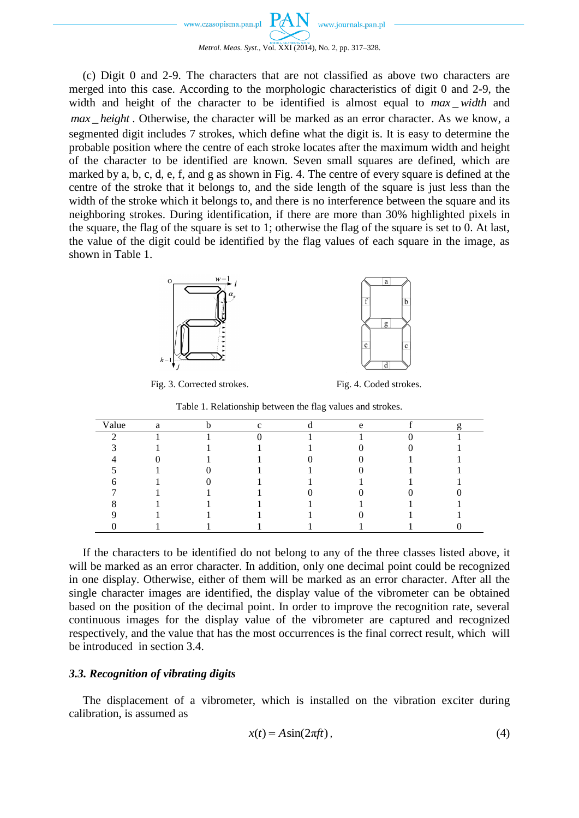

(c) Digit 0 and 2-9. The characters that are not classified as above two characters are merged into this case. According to the morphologic characteristics of digit 0 and 2-9, the width and height of the character to be identified is almost equal to max\_width and *max height*. Otherwise, the character will be marked as an error character. As we know, a segmented digit includes 7 strokes, which define what the digit is. It is easy to determine the probable position where the centre of each stroke locates after the maximum width and height of the character to be identified are known. Seven small squares are defined, which are marked by a, b, c, d, e, f, and g as shown in Fig. 4. The centre of every square is defined at the centre of the stroke that it belongs to, and the side length of the square is just less than the width of the stroke which it belongs to, and there is no interference between the square and its neighboring strokes. During identification, if there are more than 30% highlighted pixels in the square, the flag of the square is set to 1; otherwise the flag of the square is set to 0. At last, the value of the digit could be identified by the flag values of each square in the image, as shown in Table 1.





Fig. 3. Corrected strokes. Fig. 4. Coded strokes.

Table 1. Relationship between the flag values and strokes.

| Value | a |  | $\Delta$ |  |
|-------|---|--|----------|--|
|       |   |  |          |  |
|       |   |  |          |  |
|       |   |  |          |  |
|       |   |  |          |  |
|       |   |  |          |  |
|       |   |  |          |  |
|       |   |  |          |  |
|       |   |  |          |  |
|       |   |  |          |  |

If the characters to be identified do not belong to any of the three classes listed above, it will be marked as an error character. In addition, only one decimal point could be recognized in one display. Otherwise, either of them will be marked as an error character. After all the single character images are identified, the display value of the vibrometer can be obtained based on the position of the decimal point. In order to improve the recognition rate, several continuous images for the display value of the vibrometer are captured and recognized respectively, and the value that has the most occurrences is the final correct result, which will be introduced in section 3.4.

# *3.3. Recognition of vibrating digits*

The displacement of a vibrometer, which is installed on the vibration exciter during calibration, is assumed as

$$
x(t) = A\sin(2\pi ft),\tag{4}
$$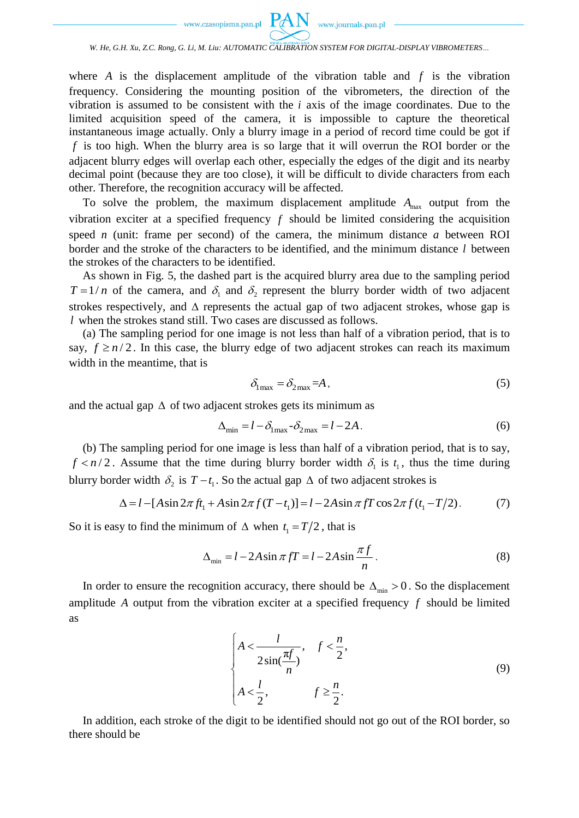

#### *W. He, G.H. Xu, Z.C. Rong, G. Li, M. Liu: AUTOMATIC CALIBRATION SYSTEM FOR DIGITAL-DISPLAY VIBROMETERS…*

where A is the displacement amplitude of the vibration table and  $f$  is the vibration frequency. Considering the mounting position of the vibrometers, the direction of the vibration is assumed to be consistent with the  $i$  axis of the image coordinates. Due to the limited acquisition speed of the camera, it is impossible to capture the theoretical instantaneous image actually. Only a blurry image in a period of record time could be got if *f* is too high. When the blurry area is so large that it will overrun the ROI border or the adjacent blurry edges will overlap each other, especially the edges of the digit and its nearby decimal point (because they are too close), it will be difficult to divide characters from each other. Therefore, the recognition accuracy will be affected.

To solve the problem, the maximum displacement amplitude  $A_{\text{max}}$  output from the vibration exciter at a specified frequency  $f$  should be limited considering the acquisition speed *n* (unit: frame per second) of the camera, the minimum distance *a* between ROI border and the stroke of the characters to be identified, and the minimum distance *l* between the strokes of the characters to be identified.

As shown in Fig. 5, the dashed part is the acquired blurry area due to the sampling period  $T = 1/n$  of the camera, and  $\delta_1$  and  $\delta_2$  represent the blurry border width of two adjacent strokes respectively, and  $\Delta$  represents the actual gap of two adjacent strokes, whose gap is *l* when the strokes stand still. Two cases are discussed as follows.

(a) The sampling period for one image is not less than half of a vibration period, that is to say,  $f \ge n/2$ . In this case, the blurry edge of two adjacent strokes can reach its maximum width in the meantime, that is

$$
\delta_{\text{1max}} = \delta_{\text{2max}} = A \,,\tag{5}
$$

and the actual gap  $\Delta$  of two adjacent strokes gets its minimum as

$$
\Delta_{\min} = l - \delta_{1\max} - \delta_{2\max} = l - 2A. \tag{6}
$$

(b) The sampling period for one image is less than half of a vibration period, that is to say, *f* < *n* / 2. Assume that the time during blurry border width  $\delta_1$  is  $t_1$ , thus the time during blurry border width  $\delta_2$  is  $T - t_1$ . So the actual gap  $\Delta$  of two adjacent strokes is  $\Delta = l - [A \sin 2\pi f t_1 + A \sin 2\pi f (T - t$ blurry border width  $\delta_2$  is  $T - t_1$ . So the actual gap  $\Delta$  of two adjacent strokes is

$$
\Delta = l - [A\sin 2\pi f t_1 + A\sin 2\pi f (T - t_1)] = l - 2A\sin \pi f T \cos 2\pi f (t_1 - T/2). \tag{7}
$$

So it is easy to find the minimum of  $\Delta$  when  $t_1 = T/2$ , that is

$$
\Delta_{\min} = l - 2A \sin \pi f T = l - 2A \sin \frac{\pi f}{n}.
$$
\n(8)

In order to ensure the recognition accuracy, there should be  $\Delta_{\min} > 0$ . So the displacement amplitude *A* output from the vibration exciter at a specified frequency *f* should be limited as

$$
\begin{cases}\nA < \frac{l}{2\sin(\frac{\pi f}{n})}, & f < \frac{n}{2}, \\
A < \frac{l}{2}, & f \ge \frac{n}{2}.\n\end{cases} \tag{9}
$$

In addition, each stroke of the digit to be identified should not go out of the ROI border, so there should be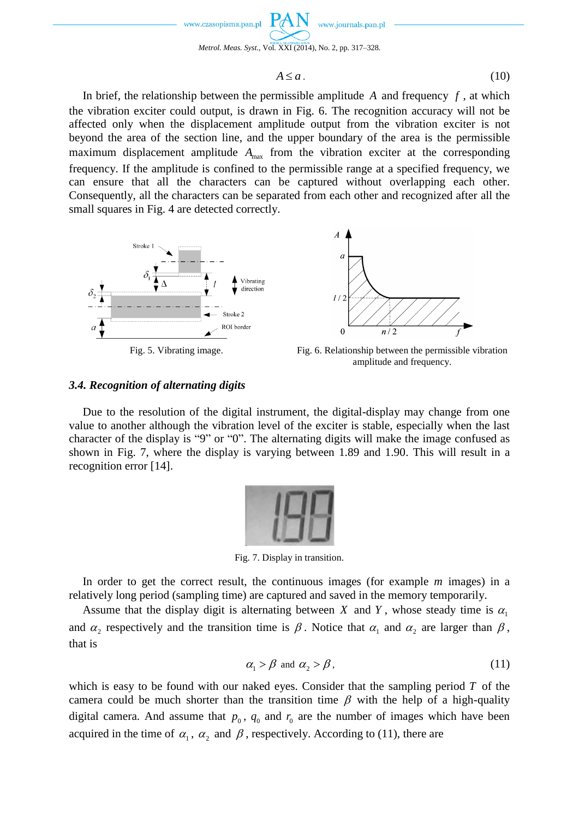

$$
A \le a \tag{10}
$$

In brief, the relationship between the permissible amplitude  $A$  and frequency  $f$ , at which the vibration exciter could output, is drawn in Fig. 6. The recognition accuracy will not be affected only when the displacement amplitude output from the vibration exciter is not beyond the area of the section line, and the upper boundary of the area is the permissible maximum displacement amplitude  $A_{\text{max}}$  from the vibration exciter at the corresponding frequency. If the amplitude is confined to the permissible range at a specified frequency, we can ensure that all the characters can be captured without overlapping each other. Consequently, all the characters can be separated from each other and recognized after all the small squares in Fig. 4 are detected correctly.



amplitude and frequency.

## *3.4. Recognition of alternating digits*

Due to the resolution of the digital instrument, the digital-display may change from one value to another although the vibration level of the exciter is stable, especially when the last character of the display is "9" or "0". The alternating digits will make the image confused as shown in Fig. 7, where the display is varying between 1.89 and 1.90. This will result in a recognition error [\[14\].](#page-11-1)



Fig. 7. Display in transition.

In order to get the correct result, the continuous images (for example *m* images) in a relatively long period (sampling time) are captured and saved in the memory temporarily.

Assume that the display digit is alternating between X and Y, whose steady time is  $\alpha_1$ and  $\alpha_2$  respectively and the transition time is  $\beta$ . Notice that  $\alpha_1$  and  $\alpha_2$  are larger than  $\beta$ , that is

$$
\alpha_1 > \beta \text{ and } \alpha_2 > \beta, \tag{11}
$$

which is easy to be found with our naked eyes. Consider that the sampling period *T* of the camera could be much shorter than the transition time  $\beta$  with the help of a high-quality digital camera. And assume that  $p_0$ ,  $q_0$  and  $r_0$  are the number of images which have been acquired in the time of  $\alpha_1$ ,  $\alpha_2$  and  $\beta$ , respectively. According to (11), there are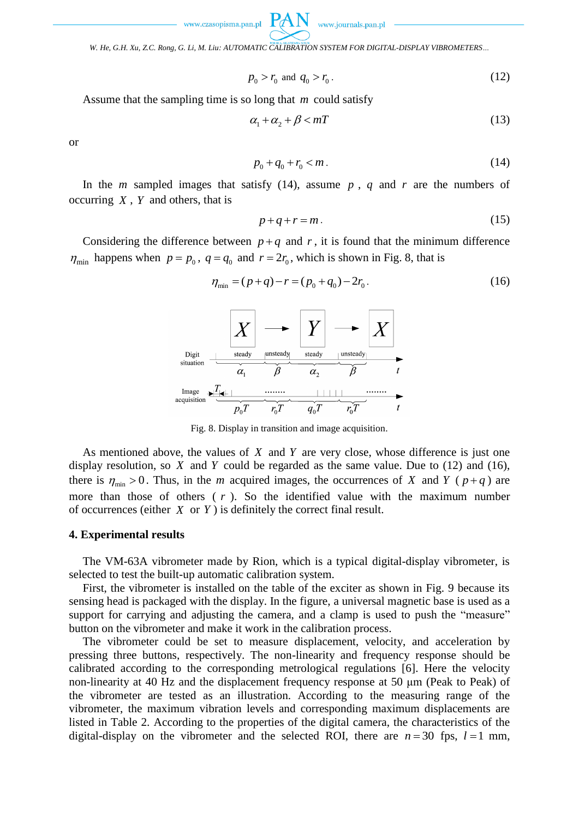www.journals.pan.pl

*W. He, G.H. Xu, Z.C. Rong, G. Li, M. Liu: AUTOMATIC CALIBRATION SYSTEM FOR DIGITAL-DISPLAY VIBROMETERS…*

$$
p_0 > r_0 \text{ and } q_0 > r_0. \tag{12}
$$

Assume that the sampling time is so long that *m* could satisfy

$$
\alpha_1 + \alpha_2 + \beta < m \tag{13}
$$

or

$$
p_0 + q_0 + r_0 < m \tag{14}
$$

In the *m* sampled images that satisfy (14), assume  $p$ ,  $q$  and  $r$  are the numbers of occurring *X* , *Y* and others, that is

$$
p+q+r=m.
$$
 (15)

Considering the difference between  $p + q$  and r, it is found that the minimum difference  $\eta_{\min}$  happens when  $p = p_0$ ,  $q = q_0$  and  $r = 2r_0$ , which is shown in Fig. 8, that is

$$
\eta_{\min} = (p+q) - r = (p_0 + q_0) - 2r_0.
$$
\n(16)



Fig. 8. Display in transition and image acquisition.

As mentioned above, the values of  $X$  and  $Y$  are very close, whose difference is just one display resolution, so  $X$  and  $Y$  could be regarded as the same value. Due to  $(12)$  and  $(16)$ , there is  $\eta_{\min} > 0$ . Thus, in the *m* acquired images, the occurrences of *X* and *Y* ( $p+q$ ) are more than those of others  $(r)$ . So the identified value with the maximum number of occurrences (either  $X$  or  $Y$ ) is definitely the correct final result.

#### **4. Experimental results**

The VM-63A vibrometer made by Rion, which is a typical digital-display vibrometer, is selected to test the built-up automatic calibration system.

First, the vibrometer is installed on the table of the exciter as shown in Fig. 9 because its sensing head is packaged with the display. In the figure, a universal magnetic base is used as a support for carrying and adjusting the camera, and a clamp is used to push the "measure" button on the vibrometer and make it work in the calibration process.

The vibrometer could be set to measure displacement, velocity, and acceleration by pressing three buttons, respectively. The non-linearity and frequency response should be calibrated according to the corresponding metrological regulations [6]. Here the velocity non-linearity at 40 Hz and the displacement frequency response at 50 μm (Peak to Peak) of the vibrometer are tested as an illustration. According to the measuring range of the vibrometer, the maximum vibration levels and corresponding maximum displacements are listed in Table 2. According to the properties of the digital camera, the characteristics of the digital-display on the vibrometer and the selected ROI, there are  $n = 30$  fps,  $l = 1$  mm,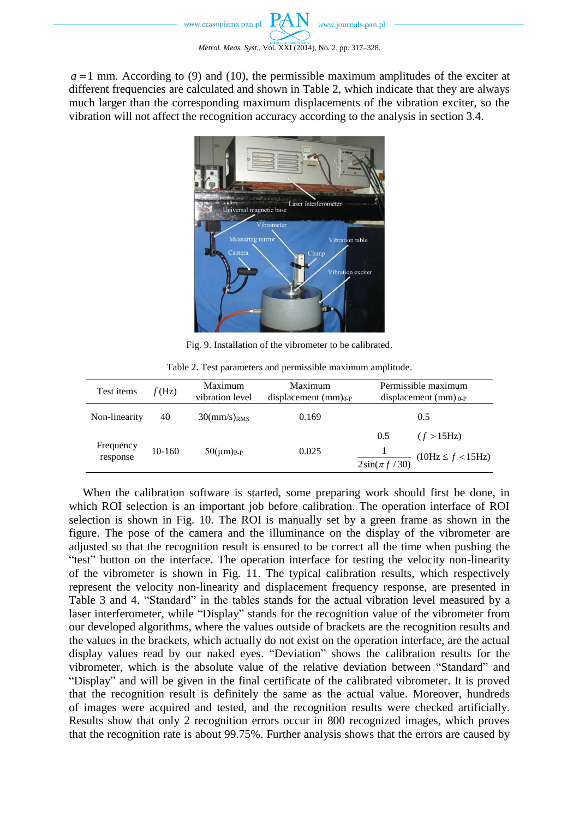$a = 1$  mm. According to (9) and (10), the permissible maximum amplitudes of the exciter at different frequencies are calculated and shown in Table 2, which indicate that they are always much larger than the corresponding maximum displacements of the vibration exciter, so the vibration will not affect the recognition accuracy according to the analysis in section 3.4.



Fig. 9. Installation of the vibrometer to be calibrated.

| Test items            | f(Hz)  | Maximum<br>vibration level                     | Maximum<br>displacement $(mm)_{0-P}$ |                                                  | Permissible maximum<br>displacement $(mm)_{0-P}$ |
|-----------------------|--------|------------------------------------------------|--------------------------------------|--------------------------------------------------|--------------------------------------------------|
| Non-linearity         | 40     | $30 \frac{\text{mm}}{\text{s}}$ <sub>RMS</sub> | 0.169                                |                                                  | 0.5                                              |
| Frequency<br>response | 10-160 | $50 \, \mu m$ ) <sub>P-P</sub>                 | 0.025                                | 0.5<br>$\frac{2\sin(\pi f/30)}{2\sin(\pi f/30)}$ | (f > 15Hz)<br>(10Hz ≤ f < 15Hz)                  |

Table 2. Test parameters and permissible maximum amplitude.

When the calibration software is started, some preparing work should first be done, in which ROI selection is an important job before calibration. The operation interface of ROI selection is shown in Fig. 10. The ROI is manually set by a green frame as shown in the figure. The pose of the camera and the illuminance on the display of the vibrometer are adjusted so that the recognition result is ensured to be correct all the time when pushing the "test" button on the interface. The operation interface for testing the velocity non-linearity of the vibrometer is shown in Fig. 11. The typical calibration results, which respectively represent the velocity non-linearity and displacement frequency response, are presented in Table 3 and 4. "Standard" in the tables stands for the actual vibration level measured by a laser interferometer, while "Display" stands for the recognition value of the vibrometer from our developed algorithms, where the values outside of brackets are the recognition results and the values in the brackets, which actually do not exist on the operation interface, are the actual display values read by our naked eyes. "Deviation" shows the calibration results for the vibrometer, which is the absolute value of the relative deviation between "Standard" and "Display" and will be given in the final certificate of the calibrated vibrometer. It is proved that the recognition result is definitely the same as the actual value. Moreover, hundreds of images were acquired and tested, and the recognition results were checked artificially. Results show that only 2 recognition errors occur in 800 recognized images, which proves that the recognition rate is about 99.75%. Further analysis shows that the errors are caused by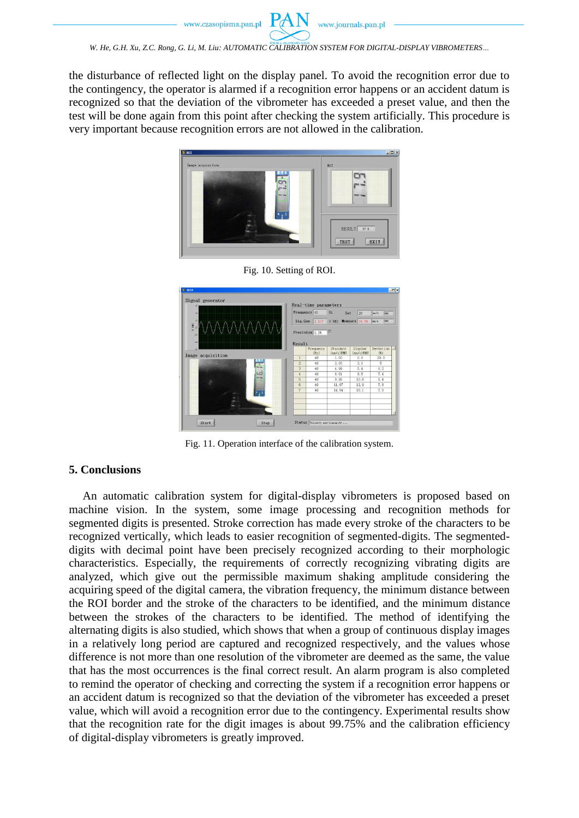*W. He, G.H. Xu, Z.C. Rong, G. Li, M. Liu: AUTOMATIC CALIBRATION SYSTEM FOR DIGITAL-DISPLAY VIBROMETERS…*

the disturbance of reflected light on the display panel. To avoid the recognition error due to the contingency, the operator is alarmed if a recognition error happens or an accident datum is recognized so that the deviation of the vibrometer has exceeded a preset value, and then the test will be done again from this point after checking the system artificially. This procedure is very important because recognition errors are not allowed in the calibration.





Fig. 10. Setting of ROI.

Fig. 11. Operation interface of the calibration system.

## **5. Conclusions**

An automatic calibration system for digital-display vibrometers is proposed based on machine vision. In the system, some image processing and recognition methods for segmented digits is presented. Stroke correction has made every stroke of the characters to be recognized vertically, which leads to easier recognition of segmented-digits. The segmenteddigits with decimal point have been precisely recognized according to their morphologic characteristics. Especially, the requirements of correctly recognizing vibrating digits are analyzed, which give out the permissible maximum shaking amplitude considering the acquiring speed of the digital camera, the vibration frequency, the minimum distance between the ROI border and the stroke of the characters to be identified, and the minimum distance between the strokes of the characters to be identified. The method of identifying the alternating digits is also studied, which shows that when a group of continuous display images in a relatively long period are captured and recognized respectively, and the values whose difference is not more than one resolution of the vibrometer are deemed as the same, the value that has the most occurrences is the final correct result. An alarm program is also completed to remind the operator of checking and correcting the system if a recognition error happens or an accident datum is recognized so that the deviation of the vibrometer has exceeded a preset value, which will avoid a recognition error due to the contingency. Experimental results show that the recognition rate for the digit images is about 99.75% and the calibration efficiency of digital-display vibrometers is greatly improved.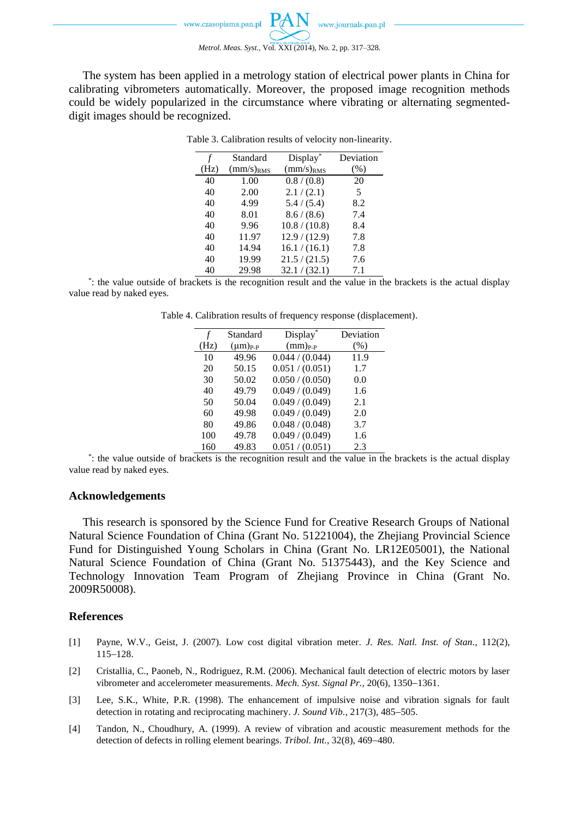The system has been applied in a metrology station of electrical power plants in China for calibrating vibrometers automatically. Moreover, the proposed image recognition methods could be widely popularized in the circumstance where vibrating or alternating segmenteddigit images should be recognized.

| $\boldsymbol{f}$ | Standard       | Display*       | Deviation |
|------------------|----------------|----------------|-----------|
| (Hz)             | $(mm/s)_{RMS}$ | $(mm/s)_{RMS}$ | (%)       |
| 40               | 1.00           | 0.8 / (0.8)    | 20        |
| 40               | 2.00           | 2.1 / (2.1)    | 5         |
| 40               | 4.99           | 5.4 / (5.4)    | 8.2       |
| 40               | 8.01           | 8.6 / (8.6)    | 7.4       |
| 40               | 9.96           | 10.8 / (10.8)  | 8.4       |
| 40               | 11.97          | 12.9 / (12.9)  | 7.8       |
| 40               | 14.94          | 16.1 / (16.1)  | 7.8       |
| 40               | 19.99          | 21.5 / (21.5)  | 7.6       |
| 40               | 29.98          | 32.1 / (32.1)  | 7.1       |

Table 3. Calibration results of velocity non-linearity.

\* : the value outside of brackets is the recognition result and the value in the brackets is the actual display value read by naked eyes.

Table 4. Calibration results of frequency response (displacement).

| f    | Standard        | Display*        | Deviation |
|------|-----------------|-----------------|-----------|
| (Hz) | $(\mu m)_{P-P}$ | $(mm)_{P-P}$    | (%)       |
| 10   | 49.96           | 0.044 / (0.044) | 11.9      |
| 20   | 50.15           | 0.051 / (0.051) | 1.7       |
| 30   | 50.02           | 0.050 / (0.050) | 0.0       |
| 40   | 49.79           | 0.049 / (0.049) | 1.6       |
| 50   | 50.04           | 0.049 / (0.049) | 2.1       |
| 60   | 49.98           | 0.049 / (0.049) | 2.0       |
| 80   | 49.86           | 0.048 / (0.048) | 3.7       |
| 100  | 49.78           | 0.049 / (0.049) | 1.6       |
| 160  | 49.83           | 0.051 / (0.051) | 2.3       |

\* : the value outside of brackets is the recognition result and the value in the brackets is the actual display value read by naked eyes.

### **Acknowledgements**

This research is sponsored by the Science Fund for Creative Research Groups of National Natural Science Foundation of China (Grant No. 51221004), the Zhejiang Provincial Science Fund for Distinguished Young Scholars in China (Grant No. LR12E05001), the National Natural Science Foundation of China (Grant No. 51375443), and the Key Science and Technology Innovation Team Program of Zhejiang Province in China (Grant No. 2009R50008).

### **References**

- [1] [Payne,](http://www.engineeringvillage.com/controller/servlet/Controller?CID=quickSearchCitationFormat&searchWord1=%7bPayne%2C+W.+Vance%7d§ion1=AU&database=1&yearselect=yearrange&sort=yr) W.V., [Geist,](http://www.engineeringvillage.com/controller/servlet/Controller?CID=quickSearchCitationFormat&searchWord1=%7bGeist%2C+Jon%7d§ion1=AU&database=1&yearselect=yearrange&sort=yr) J. (2007). Low cost digital vibration meter. *J. Res. Natl. Inst. of Stan.*, 112(2), 115-128.
- [2] Cristallia, C., Paoneb, N., Rodriguez, R.M. (2006). Mechanical fault detection of electric motors by laser vibrometer and accelerometer measurements. *Mech. Syst. Signal Pr.*, 20(6), 1350-1361.
- [3] Lee, S.K., White, P.R. (1998). The enhancement of impulsive noise and vibration signals for fault detection in rotating and reciprocating machinery. *J. Sound Vib.*, 217(3), 485-505.
- [4] Tandon, N., Choudhury, A. (1999). A review of vibration and acoustic measurement methods for the detection of defects in rolling element bearings. *Tribol. Int.*, 32(8), 469–480.